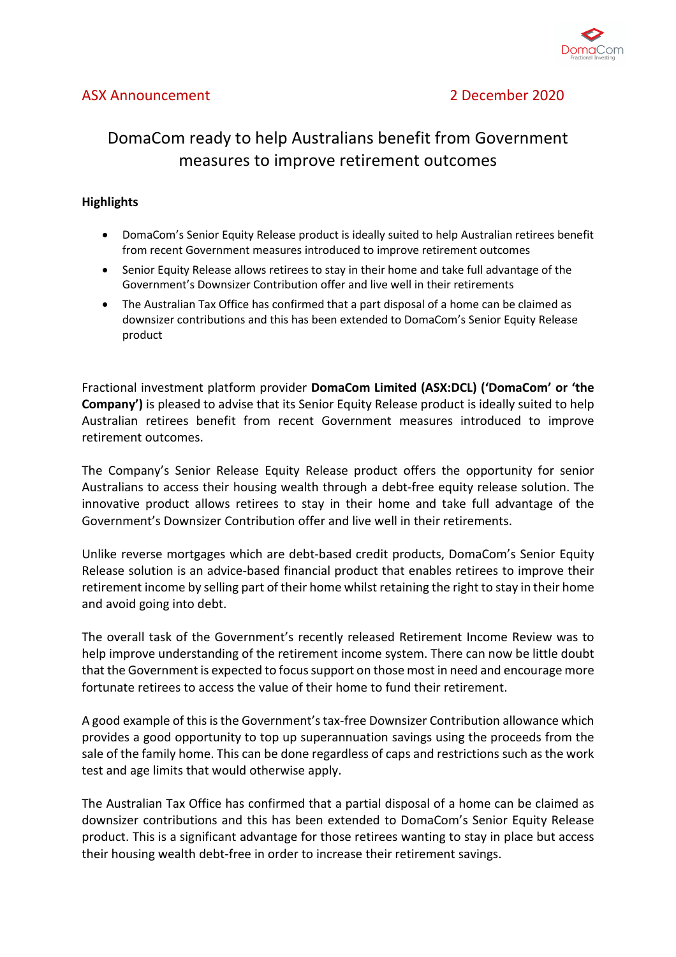

## ASX Announcement 2 December 2020

# DomaCom ready to help Australians benefit from Government measures to improve retirement outcomes

## **Highlights**

- DomaCom's Senior Equity Release product is ideally suited to help Australian retirees benefit from recent Government measures introduced to improve retirement outcomes
- Senior Equity Release allows retirees to stay in their home and take full advantage of the Government's Downsizer Contribution offer and live well in their retirements
- The Australian Tax Office has confirmed that a part disposal of a home can be claimed as downsizer contributions and this has been extended to DomaCom's Senior Equity Release product

Fractional investment platform provider **DomaCom Limited (ASX:DCL) ('DomaCom' or 'the Company')** is pleased to advise that its Senior Equity Release product is ideally suited to help Australian retirees benefit from recent Government measures introduced to improve retirement outcomes.

The Company's Senior Release Equity Release product offers the opportunity for senior Australians to access their housing wealth through a debt-free equity release solution. The innovative product allows retirees to stay in their home and take full advantage of the Government's Downsizer Contribution offer and live well in their retirements.

Unlike reverse mortgages which are debt-based credit products, DomaCom's Senior Equity Release solution is an advice-based financial product that enables retirees to improve their retirement income by selling part of their home whilst retaining the right to stay in their home and avoid going into debt.

The overall task of the Government's recently released Retirement Income Review was to help improve understanding of the retirement income system. There can now be little doubt that the Government is expected to focus support on those most in need and encourage more fortunate retirees to access the value of their home to fund their retirement.

A good example of this is the Government's tax-free Downsizer Contribution allowance which provides a good opportunity to top up superannuation savings using the proceeds from the sale of the family home. This can be done regardless of caps and restrictions such as the work test and age limits that would otherwise apply.

The Australian Tax Office has confirmed that a partial disposal of a home can be claimed as downsizer contributions and this has been extended to DomaCom's Senior Equity Release product. This is a significant advantage for those retirees wanting to stay in place but access their housing wealth debt-free in order to increase their retirement savings.